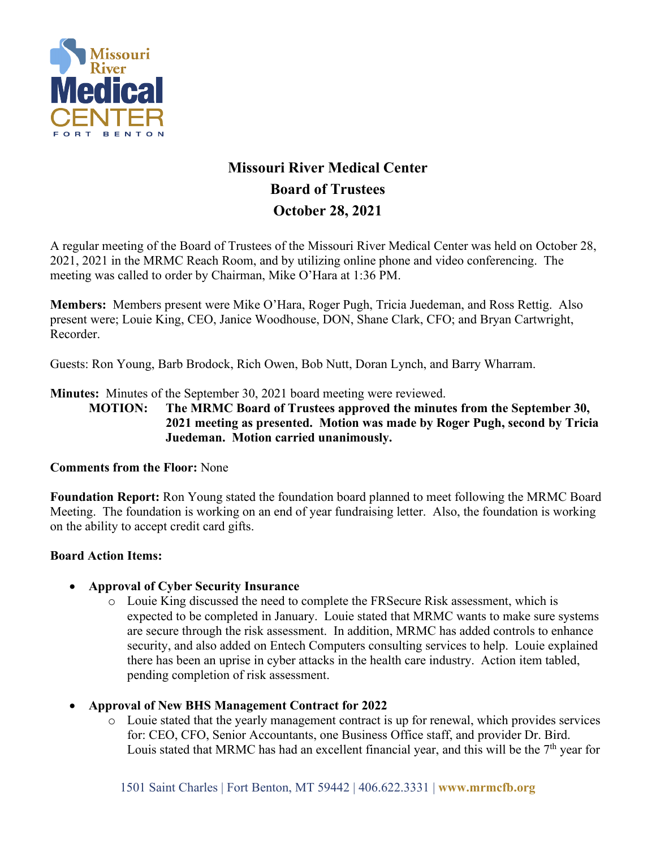

# **Missouri River Medical Center Board of Trustees October 28, 2021**

A regular meeting of the Board of Trustees of the Missouri River Medical Center was held on October 28, 2021, 2021 in the MRMC Reach Room, and by utilizing online phone and video conferencing. The meeting was called to order by Chairman, Mike O'Hara at 1:36 PM.

**Members:** Members present were Mike O'Hara, Roger Pugh, Tricia Juedeman, and Ross Rettig. Also present were; Louie King, CEO, Janice Woodhouse, DON, Shane Clark, CFO; and Bryan Cartwright, Recorder.

Guests: Ron Young, Barb Brodock, Rich Owen, Bob Nutt, Doran Lynch, and Barry Wharram.

**Minutes:** Minutes of the September 30, 2021 board meeting were reviewed.

**MOTION: The MRMC Board of Trustees approved the minutes from the September 30, 2021 meeting as presented. Motion was made by Roger Pugh, second by Tricia Juedeman. Motion carried unanimously.**

### **Comments from the Floor:** None

**Foundation Report:** Ron Young stated the foundation board planned to meet following the MRMC Board Meeting. The foundation is working on an end of year fundraising letter. Also, the foundation is working on the ability to accept credit card gifts.

### **Board Action Items:**

### • **Approval of Cyber Security Insurance**

- o Louie King discussed the need to complete the FRSecure Risk assessment, which is expected to be completed in January. Louie stated that MRMC wants to make sure systems are secure through the risk assessment. In addition, MRMC has added controls to enhance security, and also added on Entech Computers consulting services to help. Louie explained there has been an uprise in cyber attacks in the health care industry. Action item tabled, pending completion of risk assessment.
- **Approval of New BHS Management Contract for 2022**
	- o Louie stated that the yearly management contract is up for renewal, which provides services for: CEO, CFO, Senior Accountants, one Business Office staff, and provider Dr. Bird. Louis stated that MRMC has had an excellent financial year, and this will be the  $7<sup>th</sup>$  year for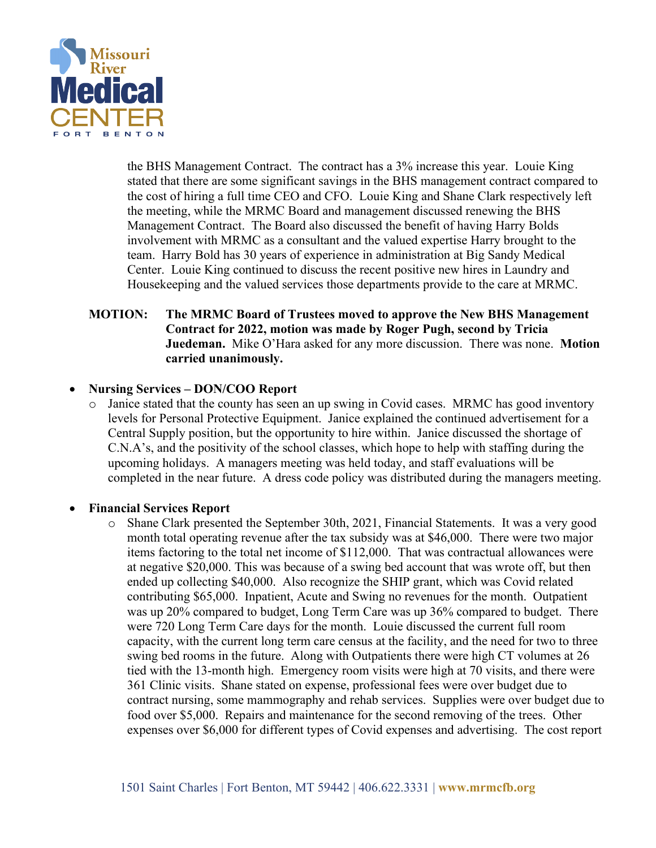

the BHS Management Contract. The contract has a 3% increase this year. Louie King stated that there are some significant savings in the BHS management contract compared to the cost of hiring a full time CEO and CFO. Louie King and Shane Clark respectively left the meeting, while the MRMC Board and management discussed renewing the BHS Management Contract. The Board also discussed the benefit of having Harry Bolds involvement with MRMC as a consultant and the valued expertise Harry brought to the team. Harry Bold has 30 years of experience in administration at Big Sandy Medical Center. Louie King continued to discuss the recent positive new hires in Laundry and Housekeeping and the valued services those departments provide to the care at MRMC.

### **MOTION: The MRMC Board of Trustees moved to approve the New BHS Management Contract for 2022, motion was made by Roger Pugh, second by Tricia Juedeman.** Mike O'Hara asked for any more discussion. There was none. **Motion carried unanimously.**

#### • **Nursing Services – DON/COO Report**

Janice stated that the county has seen an up swing in Covid cases. MRMC has good inventory levels for Personal Protective Equipment. Janice explained the continued advertisement for a Central Supply position, but the opportunity to hire within. Janice discussed the shortage of C.N.A's, and the positivity of the school classes, which hope to help with staffing during the upcoming holidays. A managers meeting was held today, and staff evaluations will be completed in the near future. A dress code policy was distributed during the managers meeting.

#### • **Financial Services Report**

o Shane Clark presented the September 30th, 2021, Financial Statements. It was a very good month total operating revenue after the tax subsidy was at \$46,000. There were two major items factoring to the total net income of \$112,000. That was contractual allowances were at negative \$20,000. This was because of a swing bed account that was wrote off, but then ended up collecting \$40,000. Also recognize the SHIP grant, which was Covid related contributing \$65,000. Inpatient, Acute and Swing no revenues for the month. Outpatient was up 20% compared to budget, Long Term Care was up 36% compared to budget. There were 720 Long Term Care days for the month. Louie discussed the current full room capacity, with the current long term care census at the facility, and the need for two to three swing bed rooms in the future. Along with Outpatients there were high CT volumes at 26 tied with the 13-month high. Emergency room visits were high at 70 visits, and there were 361 Clinic visits. Shane stated on expense, professional fees were over budget due to contract nursing, some mammography and rehab services. Supplies were over budget due to food over \$5,000. Repairs and maintenance for the second removing of the trees. Other expenses over \$6,000 for different types of Covid expenses and advertising. The cost report